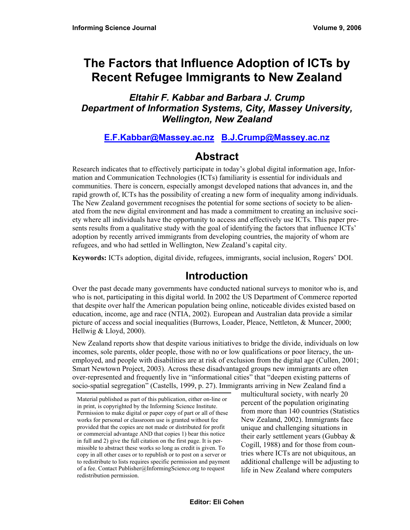# **The Factors that Influence Adoption of ICTs by Recent Refugee Immigrants to New Zealand**

### *Eltahir F. Kabbar and Barbara J. Crump Department of Information Systems, City, Massey University, Wellington, New Zealand*

### **E.F.Kabbar@Massey.ac.nz B.J.Crump@Massey.ac.nz**

# **Abstract**

Research indicates that to effectively participate in today's global digital information age, Information and Communication Technologies (ICTs) familiarity is essential for individuals and communities. There is concern, especially amongst developed nations that advances in, and the rapid growth of, ICTs has the possibility of creating a new form of inequality among individuals. The New Zealand government recognises the potential for some sections of society to be alienated from the new digital environment and has made a commitment to creating an inclusive society where all individuals have the opportunity to access and effectively use ICTs. This paper presents results from a qualitative study with the goal of identifying the factors that influence ICTs' adoption by recently arrived immigrants from developing countries, the majority of whom are refugees, and who had settled in Wellington, New Zealand's capital city.

**Keywords:** ICTs adoption, digital divide, refugees, immigrants, social inclusion, Rogers' DOI.

# **Introduction**

Over the past decade many governments have conducted national surveys to monitor who is, and who is not, participating in this digital world. In 2002 the US Department of Commerce reported that despite over half the American population being online, noticeable divides existed based on education, income, age and race (NTIA, 2002). European and Australian data provide a similar picture of access and social inequalities (Burrows, Loader, Pleace, Nettleton, & Muncer, 2000; Hellwig & Lloyd, 2000).

New Zealand reports show that despite various initiatives to bridge the divide, individuals on low incomes, sole parents, older people, those with no or low qualifications or poor literacy, the unemployed, and people with disabilities are at risk of exclusion from the digital age (Cullen, 2001; Smart Newtown Project, 2003). Across these disadvantaged groups new immigrants are often over-represented and frequently live in "informational cities" that "deepen existing patterns of socio-spatial segregation" (Castells, 1999, p. 27). Immigrants arriving in New Zealand find a

multicultural society, with nearly 20 percent of the population originating from more than 140 countries (Statistics New Zealand, 2002). Immigrants face unique and challenging situations in their early settlement years (Gubbay & Cogill, 1988) and for those from countries where ICTs are not ubiquitous, an additional challenge will be adjusting to life in New Zealand where computers

Material published as part of this publication, either on-line or in print, is copyrighted by the Informing Science Institute. Permission to make digital or paper copy of part or all of these works for personal or classroom use is granted without fee provided that the copies are not made or distributed for profit or commercial advantage AND that copies 1) bear this notice in full and 2) give the full citation on the first page. It is permissible to abstract these works so long as credit is given. To copy in all other cases or to republish or to post on a server or to redistribute to lists requires specific permission and payment of a fee. Contact Publisher@InformingScience.org to request redistribution permission.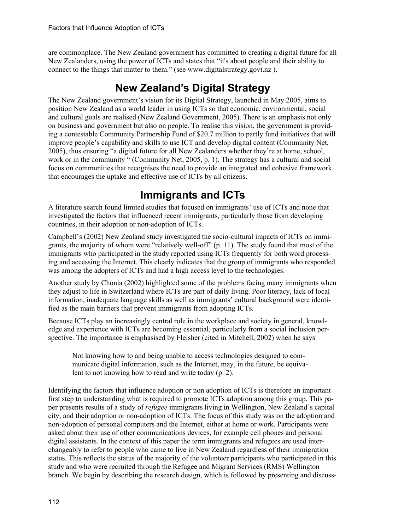are commonplace. The New Zealand government has committed to creating a digital future for all New Zealanders, using the power of ICTs and states that "it's about people and their ability to connect to the things that matter to them." (see www.digitalstrategy.govt.nz ).

# **New Zealand's Digital Strategy**

The New Zealand government's vision for its Digital Strategy, launched in May 2005, aims to position New Zealand as a world leader in using ICTs so that economic, environmental, social and cultural goals are realised (New Zealand Government, 2005). There is an emphasis not only on business and government but also on people. To realise this vision, the government is providing a contestable Community Partnership Fund of \$20.7 million to partly fund initiatives that will improve people's capability and skills to use ICT and develop digital content (Community Net, 2005), thus ensuring "a digital future for all New Zealanders whether they're at home, school, work or in the community " (Community Net, 2005, p. 1). The strategy has a cultural and social focus on communities that recognises the need to provide an integrated and cohesive framework that encourages the uptake and effective use of ICTs by all citizens.

# **Immigrants and ICTs**

A literature search found limited studies that focused on immigrants' use of ICTs and none that investigated the factors that influenced recent immigrants, particularly those from developing countries, in their adoption or non-adoption of ICTs.

Campbell's (2002) New Zealand study investigated the socio-cultural impacts of ICTs on immigrants, the majority of whom were "relatively well-off" (p. 11). The study found that most of the immigrants who participated in the study reported using ICTs frequently for both word processing and accessing the Internet. This clearly indicates that the group of immigrants who responded was among the adopters of ICTs and had a high access level to the technologies.

Another study by Chonia (2002) highlighted some of the problems facing many immigrants when they adjust to life in Switzerland where ICTs are part of daily living. Poor literacy, lack of local information, inadequate language skills as well as immigrants' cultural background were identified as the main barriers that prevent immigrants from adopting ICTs.

Because ICTs play an increasingly central role in the workplace and society in general, knowledge and experience with ICTs are becoming essential, particularly from a social inclusion perspective. The importance is emphasised by Fleisher (cited in Mitchell, 2002) when he says

Not knowing how to and being unable to access technologies designed to communicate digital information, such as the Internet, may, in the future, be equivalent to not knowing how to read and write today (p. 2).

Identifying the factors that influence adoption or non adoption of ICTs is therefore an important first step to understanding what is required to promote ICTs adoption among this group. This paper presents results of a study of *refugee* immigrants living in Wellington, New Zealand's capital city, and their adoption or non-adoption of ICTs. The focus of this study was on the adoption and non-adoption of personal computers and the Internet, either at home or work. Participants were asked about their use of other communications devices, for example cell phones and personal digital assistants. In the context of this paper the term immigrants and refugees are used interchangeably to refer to people who came to live in New Zealand regardless of their immigration status. This reflects the status of the majority of the volunteer participants who participated in this study and who were recruited through the Refugee and Migrant Services (RMS) Wellington branch. We begin by describing the research design, which is followed by presenting and discuss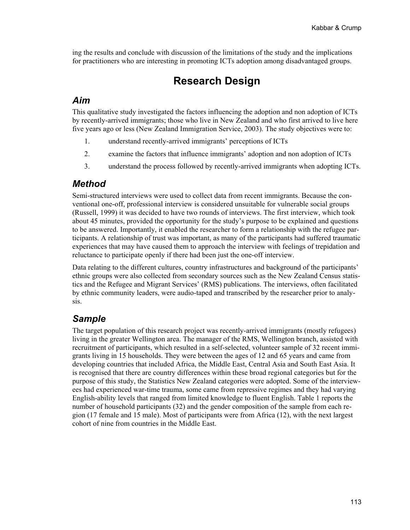ing the results and conclude with discussion of the limitations of the study and the implications for practitioners who are interesting in promoting ICTs adoption among disadvantaged groups.

# **Research Design**

#### *Aim*

This qualitative study investigated the factors influencing the adoption and non adoption of ICTs by recently-arrived immigrants; those who live in New Zealand and who first arrived to live here five years ago or less (New Zealand Immigration Service, 2003). The study objectives were to:

- 1. understand recently-arrived immigrants' perceptions of ICTs
- 2. examine the factors that influence immigrants' adoption and non adoption of ICTs
- 3. understand the process followed by recently-arrived immigrants when adopting ICTs.

#### *Method*

Semi-structured interviews were used to collect data from recent immigrants. Because the conventional one-off, professional interview is considered unsuitable for vulnerable social groups (Russell, 1999) it was decided to have two rounds of interviews. The first interview, which took about 45 minutes, provided the opportunity for the study's purpose to be explained and questions to be answered. Importantly, it enabled the researcher to form a relationship with the refugee participants. A relationship of trust was important, as many of the participants had suffered traumatic experiences that may have caused them to approach the interview with feelings of trepidation and reluctance to participate openly if there had been just the one-off interview.

Data relating to the different cultures, country infrastructures and background of the participants' ethnic groups were also collected from secondary sources such as the New Zealand Census statistics and the Refugee and Migrant Services' (RMS) publications. The interviews, often facilitated by ethnic community leaders, were audio-taped and transcribed by the researcher prior to analysis.

### *Sample*

The target population of this research project was recently-arrived immigrants (mostly refugees) living in the greater Wellington area. The manager of the RMS, Wellington branch, assisted with recruitment of participants, which resulted in a self-selected, volunteer sample of 32 recent immigrants living in 15 households. They were between the ages of 12 and 65 years and came from developing countries that included Africa, the Middle East, Central Asia and South East Asia. It is recognised that there are country differences within these broad regional categories but for the purpose of this study, the Statistics New Zealand categories were adopted. Some of the interviewees had experienced war-time trauma, some came from repressive regimes and they had varying English-ability levels that ranged from limited knowledge to fluent English. Table 1 reports the number of household participants (32) and the gender composition of the sample from each region (17 female and 15 male). Most of participants were from Africa (12), with the next largest cohort of nine from countries in the Middle East.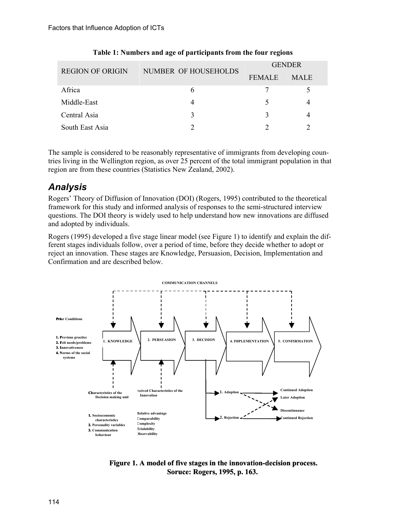| <b>REGION OF ORIGIN</b> | NUMBER OF HOUSEHOLDS | <b>GENDER</b> |             |
|-------------------------|----------------------|---------------|-------------|
|                         |                      | <b>FEMALE</b> | <b>MALE</b> |
| Africa                  | h                    |               |             |
| Middle-East             |                      |               |             |
| Central Asia            | ζ                    |               |             |
| South East Asia         |                      |               |             |

#### **Table 1: Numbers and age of participants from the four regions**

The sample is considered to be reasonably representative of immigrants from developing countries living in the Wellington region, as over 25 percent of the total immigrant population in that region are from these countries (Statistics New Zealand, 2002).

### *Analysis*

Rogers' Theory of Diffusion of Innovation (DOI) (Rogers, 1995) contributed to the theoretical framework for this study and informed analysis of responses to the semi-structured interview questions. The DOI theory is widely used to help understand how new innovations are diffused and adopted by individuals.

Rogers (1995) developed a five stage linear model (see Figure 1) to identify and explain the different stages individuals follow, over a period of time, before they decide whether to adopt or reject an innovation. These stages are Knowledge, Persuasion, Decision, Implementation and Confirmation and are described below.



**Figure 1. A model of five stages in the innovation-decision process. Soruce: Rogers, 1995, p. 163.**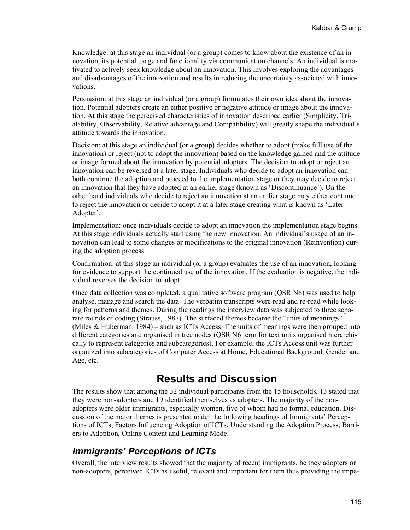Knowledge: at this stage an individual (or a group) comes to know about the existence of an innovation, its potential usage and functionality via communication channels. An individual is motivated to actively seek knowledge about an innovation. This involves exploring the advantages and disadvantages of the innovation and results in reducing the uncertainty associated with innovations.

Persuasion: at this stage an individual (or a group) formulates their own idea about the innovation. Potential adopters create an either positive or negative attitude or image about the innovation. At this stage the perceived characteristics of innovation described earlier (Simplicity, Trialability, Observability, Relative advantage and Compatibility) will greatly shape the individual's attitude towards the innovation.

Decision: at this stage an individual (or a group) decides whether to adopt (make full use of the innovation) or reject (not to adopt the innovation) based on the knowledge gained and the attitude or image formed about the innovation by potential adopters. The decision to adopt or reject an innovation can be reversed at a later stage. Individuals who decide to adopt an innovation can both continue the adoption and proceed to the implementation stage or they may decide to reject an innovation that they have adopted at an earlier stage (known as 'Discontinuance'). On the other hand individuals who decide to reject an innovation at an earlier stage may either continue to reject the innovation or decide to adopt it at a later stage creating what is known as 'Later Adopter'.

Implementation: once individuals decide to adopt an innovation the implementation stage begins. At this stage individuals actually start using the new innovation. An individual's usage of an innovation can lead to some changes or modifications to the original innovation (Reinvention) during the adoption process.

Confirmation: at this stage an individual (or a group) evaluates the use of an innovation, looking for evidence to support the continued use of the innovation. If the evaluation is negative, the individual reverses the decision to adopt.

Once data collection was completed, a qualitative software program (QSR N6) was used to help analyse, manage and search the data. The verbatim transcripts were read and re-read while looking for patterns and themes. During the readings the interview data was subjected to three separate rounds of coding (Strauss, 1987). The surfaced themes became the "units of meanings" (Miles & Huberman, 1984) – such as ICTs Access. The units of meanings were then grouped into different categories and organised in tree nodes (QSR N6 term for text units organised hierarchically to represent categories and subcategories). For example, the ICTs Access unit was further organized into subcategories of Computer Access at Home, Educational Background, Gender and Age, etc.

### **Results and Discussion**

The results show that among the 32 individual participants from the 15 households, 13 stated that they were non-adopters and 19 identified themselves as adopters. The majority of the nonadopters were older immigrants, especially women, five of whom had no formal education. Discussion of the major themes is presented under the following headings of Immigrants' Perceptions of ICTs, Factors Influencing Adoption of ICTs, Understanding the Adoption Process, Barriers to Adoption, Online Content and Learning Mode.

#### *Immigrants' Perceptions of ICTs*

Overall, the interview results showed that the majority of recent immigrants, be they adopters or non-adopters, perceived ICTs as useful, relevant and important for them thus providing the impe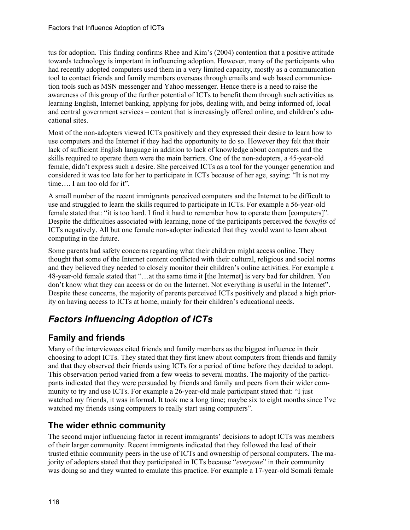tus for adoption. This finding confirms Rhee and Kim's (2004) contention that a positive attitude towards technology is important in influencing adoption. However, many of the participants who had recently adopted computers used them in a very limited capacity, mostly as a communication tool to contact friends and family members overseas through emails and web based communication tools such as MSN messenger and Yahoo messenger. Hence there is a need to raise the awareness of this group of the further potential of ICTs to benefit them through such activities as learning English, Internet banking, applying for jobs, dealing with, and being informed of, local and central government services – content that is increasingly offered online, and children's educational sites.

Most of the non-adopters viewed ICTs positively and they expressed their desire to learn how to use computers and the Internet if they had the opportunity to do so. However they felt that their lack of sufficient English language in addition to lack of knowledge about computers and the skills required to operate them were the main barriers. One of the non-adopters, a 45-year-old female, didn't express such a desire. She perceived ICTs as a tool for the younger generation and considered it was too late for her to participate in ICTs because of her age, saying: "It is not my time…. I am too old for it".

A small number of the recent immigrants perceived computers and the Internet to be difficult to use and struggled to learn the skills required to participate in ICTs. For example a 56-year-old female stated that: "it is too hard. I find it hard to remember how to operate them [computers]". Despite the difficulties associated with learning, none of the participants perceived the *benefits* of ICTs negatively. All but one female non-adopter indicated that they would want to learn about computing in the future.

Some parents had safety concerns regarding what their children might access online. They thought that some of the Internet content conflicted with their cultural, religious and social norms and they believed they needed to closely monitor their children's online activities. For example a 48-year-old female stated that "…at the same time it [the Internet] is very bad for children. You don't know what they can access or do on the Internet. Not everything is useful in the Internet". Despite these concerns, the majority of parents perceived ICTs positively and placed a high priority on having access to ICTs at home, mainly for their children's educational needs.

# *Factors Influencing Adoption of ICTs*

#### **Family and friends**

Many of the interviewees cited friends and family members as the biggest influence in their choosing to adopt ICTs. They stated that they first knew about computers from friends and family and that they observed their friends using ICTs for a period of time before they decided to adopt. This observation period varied from a few weeks to several months. The majority of the participants indicated that they were persuaded by friends and family and peers from their wider community to try and use ICTs. For example a 26-year-old male participant stated that: "I just watched my friends, it was informal. It took me a long time; maybe six to eight months since I've watched my friends using computers to really start using computers".

#### **The wider ethnic community**

The second major influencing factor in recent immigrants' decisions to adopt ICTs was members of their larger community. Recent immigrants indicated that they followed the lead of their trusted ethnic community peers in the use of ICTs and ownership of personal computers. The majority of adopters stated that they participated in ICTs because "*everyone*" in their community was doing so and they wanted to emulate this practice. For example a 17-year-old Somali female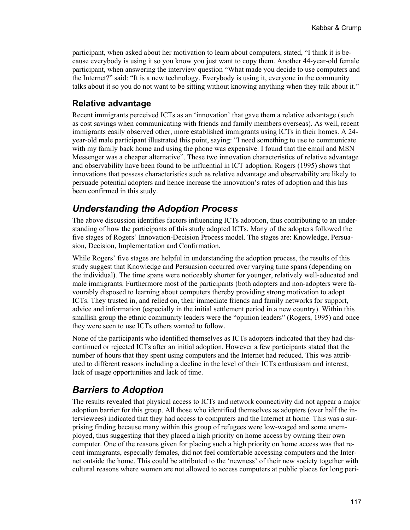participant, when asked about her motivation to learn about computers, stated, "I think it is because everybody is using it so you know you just want to copy them. Another 44-year-old female participant, when answering the interview question "What made you decide to use computers and the Internet?" said: "It is a new technology. Everybody is using it, everyone in the community talks about it so you do not want to be sitting without knowing anything when they talk about it."

#### **Relative advantage**

Recent immigrants perceived ICTs as an 'innovation' that gave them a relative advantage (such as cost savings when communicating with friends and family members overseas). As well, recent immigrants easily observed other, more established immigrants using ICTs in their homes. A 24 year-old male participant illustrated this point, saying: "I need something to use to communicate with my family back home and using the phone was expensive. I found that the email and MSN Messenger was a cheaper alternative". These two innovation characteristics of relative advantage and observability have been found to be influential in ICT adoption. Rogers (1995) shows that innovations that possess characteristics such as relative advantage and observability are likely to persuade potential adopters and hence increase the innovation's rates of adoption and this has been confirmed in this study.

### *Understanding the Adoption Process*

The above discussion identifies factors influencing ICTs adoption, thus contributing to an understanding of how the participants of this study adopted ICTs. Many of the adopters followed the five stages of Rogers' Innovation-Decision Process model. The stages are: Knowledge, Persuasion, Decision, Implementation and Confirmation.

While Rogers' five stages are helpful in understanding the adoption process, the results of this study suggest that Knowledge and Persuasion occurred over varying time spans (depending on the individual). The time spans were noticeably shorter for younger, relatively well-educated and male immigrants. Furthermore most of the participants (both adopters and non-adopters were favourably disposed to learning about computers thereby providing strong motivation to adopt ICTs. They trusted in, and relied on, their immediate friends and family networks for support, advice and information (especially in the initial settlement period in a new country). Within this smallish group the ethnic community leaders were the "opinion leaders" (Rogers, 1995) and once they were seen to use ICTs others wanted to follow.

None of the participants who identified themselves as ICTs adopters indicated that they had discontinued or rejected ICTs after an initial adoption. However a few participants stated that the number of hours that they spent using computers and the Internet had reduced. This was attributed to different reasons including a decline in the level of their ICTs enthusiasm and interest, lack of usage opportunities and lack of time.

### *Barriers to Adoption*

The results revealed that physical access to ICTs and network connectivity did not appear a major adoption barrier for this group. All those who identified themselves as adopters (over half the interviewees) indicated that they had access to computers and the Internet at home. This was a surprising finding because many within this group of refugees were low-waged and some unemployed, thus suggesting that they placed a high priority on home access by owning their own computer. One of the reasons given for placing such a high priority on home access was that recent immigrants, especially females, did not feel comfortable accessing computers and the Internet outside the home. This could be attributed to the 'newness' of their new society together with cultural reasons where women are not allowed to access computers at public places for long peri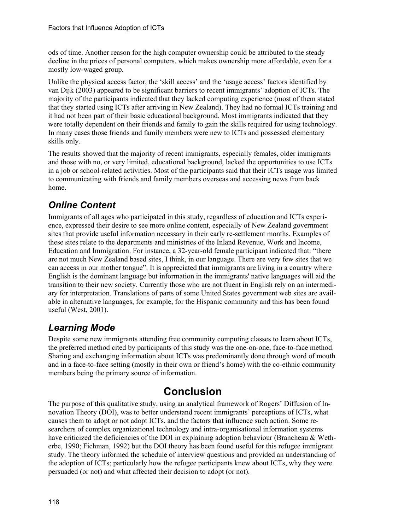ods of time. Another reason for the high computer ownership could be attributed to the steady decline in the prices of personal computers, which makes ownership more affordable, even for a mostly low-waged group.

Unlike the physical access factor, the 'skill access' and the 'usage access' factors identified by van Dijk (2003) appeared to be significant barriers to recent immigrants' adoption of ICTs. The majority of the participants indicated that they lacked computing experience (most of them stated that they started using ICTs after arriving in New Zealand). They had no formal ICTs training and it had not been part of their basic educational background. Most immigrants indicated that they were totally dependent on their friends and family to gain the skills required for using technology. In many cases those friends and family members were new to ICTs and possessed elementary skills only.

The results showed that the majority of recent immigrants, especially females, older immigrants and those with no, or very limited, educational background, lacked the opportunities to use ICTs in a job or school-related activities. Most of the participants said that their ICTs usage was limited to communicating with friends and family members overseas and accessing news from back home.

# *Online Content*

Immigrants of all ages who participated in this study, regardless of education and ICTs experience, expressed their desire to see more online content, especially of New Zealand government sites that provide useful information necessary in their early re-settlement months. Examples of these sites relate to the departments and ministries of the Inland Revenue, Work and Income, Education and Immigration. For instance, a 32-year-old female participant indicated that: "there are not much New Zealand based sites, I think, in our language. There are very few sites that we can access in our mother tongue". It is appreciated that immigrants are living in a country where English is the dominant language but information in the immigrants' native languages will aid the transition to their new society. Currently those who are not fluent in English rely on an intermediary for interpretation. Translations of parts of some United States government web sites are available in alternative languages, for example, for the Hispanic community and this has been found useful (West, 2001).

# *Learning Mode*

Despite some new immigrants attending free community computing classes to learn about ICTs, the preferred method cited by participants of this study was the one-on-one, face-to-face method. Sharing and exchanging information about ICTs was predominantly done through word of mouth and in a face-to-face setting (mostly in their own or friend's home) with the co-ethnic community members being the primary source of information.

# **Conclusion**

The purpose of this qualitative study, using an analytical framework of Rogers' Diffusion of Innovation Theory (DOI), was to better understand recent immigrants' perceptions of ICTs, what causes them to adopt or not adopt ICTs, and the factors that influence such action. Some researchers of complex organizational technology and intra-organisational information systems have criticized the deficiencies of the DOI in explaining adoption behaviour (Brancheau & Wetherbe, 1990; Fichman, 1992) but the DOI theory has been found useful for this refugee immigrant study. The theory informed the schedule of interview questions and provided an understanding of the adoption of ICTs; particularly how the refugee participants knew about ICTs, why they were persuaded (or not) and what affected their decision to adopt (or not).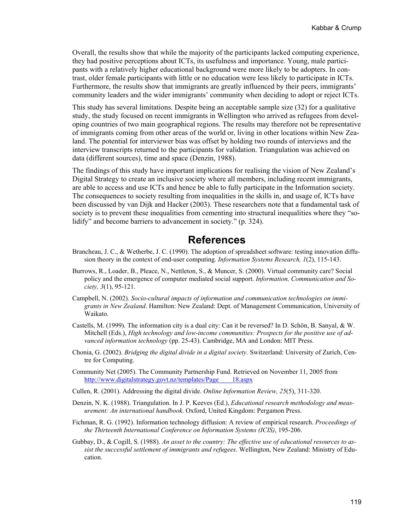Overall, the results show that while the majority of the participants lacked computing experience, they had positive perceptions about ICTs, its usefulness and importance. Young, male participants with a relatively higher educational background were more likely to be adopters. In contrast, older female participants with little or no education were less likely to participate in ICTs. Furthermore, the results show that immigrants are greatly influenced by their peers, immigrants' community leaders and the wider immigrants' community when deciding to adopt or reject ICTs.

This study has several limitations. Despite being an acceptable sample size (32) for a qualitative study, the study focused on recent immigrants in Wellington who arrived as refugees from developing countries of two main geographical regions. The results may therefore not be representative of immigrants coming from other areas of the world or, living in other locations within New Zealand. The potential for interviewer bias was offset by holding two rounds of interviews and the interview transcripts returned to the participants for validation. Triangulation was achieved on data (different sources), time and space (Denzin, 1988).

The findings of this study have important implications for realising the vision of New Zealand's Digital Strategy to create an inclusive society where all members, including recent immigrants, are able to access and use ICTs and hence be able to fully participate in the Information society. The consequences to society resulting from inequalities in the skills in, and usage of, ICTs have been discussed by van Dijk and Hacker (2003). These researchers note that a fundamental task of society is to prevent these inequalities from cementing into structural inequalities where they "solidify" and become barriers to advancement in society." (p. 324).

### **References**

- Brancheau, J. C., & Wetherbe, J. C. (1990). The adoption of spreadsheet software: testing innovation diffusion theory in the context of end-user computing. *Information Systems Research, 1*(2), 115-143.
- Burrows, R., Loader, B., Pleace, N., Nettleton, S., & Muncer, S. (2000). Virtual community care? Social policy and the emergence of computer mediated social support. *Information, Communication and Society, 3*(1), 95-121.
- Campbell, N. (2002). *Socio-cultural impacts of information and communication technologies on immigrants in New Zealand*. Hamilton: New Zealand: Dept. of Management Communication, University of Waikato.
- Castells, M. (1999). The information city is a dual city: Can it be reversed? In D. Schön, B. Sanyal, & W. Mitchell (Eds.), *High technology and low-income communities: Prospects for the positive use of advanced information technology* (pp. 25-43). Cambridge, MA and London: MIT Press.
- Chonia, G. (2002). *Bridging the digital divide in a digital society.* Switzerland: University of Zurich, Centre for Computing.
- Community Net (2005). The Community Partnership Fund. Retrieved on November 11, 2005 from http://www.digitalstrategy.govt.nz/templates/Page\_\_\_\_18.aspx
- Cullen, R. (2001). Addressing the digital divide. *Online Information Review, 25*(5), 311-320.
- Denzin, N. K. (1988). Triangulation. In J. P. Keeves (Ed.), *Educational research methodology and measurement: An international handbook*. Oxford, United Kingdom: Pergamon Press.
- Fichman, R. G. (1992). Information technology diffusion: A review of empirical research. *Proceedings of the Thirteenth International Conference on Information Systems (ICIS)*, 195-206.
- Gubbay, D., & Cogill, S. (1988). *An asset to the country: The effective use of educational resources to assist the successful settlement of immigrants and refugees*. Wellington, New Zealand: Ministry of Education.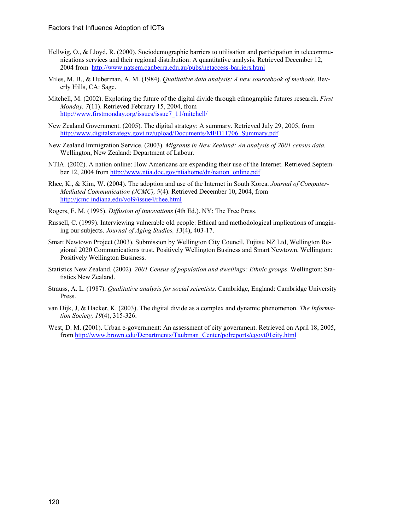- Hellwig, O., & Lloyd, R. (2000). Sociodemographic barriers to utilisation and participation in telecommunications services and their regional distribution: A quantitative analysis. Retrieved December 12, 2004 from http://www.natsem.canberra.edu.au/pubs/netaccess-barriers.html
- Miles, M. B., & Huberman, A. M. (1984). *Qualitative data analysis: A new sourcebook of methods.* Beverly Hills, CA: Sage.
- Mitchell, M. (2002). Exploring the future of the digital divide through ethnographic futures research. *First Monday, 7*(11). Retrieved February 15, 2004, from http://www.firstmonday.org/issues/issue7\_11/mitchell/
- New Zealand Government. (2005). The digital strategy: A summary. Retrieved July 29, 2005, from http://www.digitalstrategy.govt.nz/upload/Documents/MED11706\_Summary.pdf
- New Zealand Immigration Service. (2003). *Migrants in New Zealand: An analysis of 2001 census data*. Wellington, New Zealand: Department of Labour.
- NTIA. (2002). A nation online: How Americans are expanding their use of the Internet. Retrieved September 12, 2004 from http://www.ntia.doc.gov/ntiahome/dn/nation\_online.pdf
- Rhee, K., & Kim, W. (2004). The adoption and use of the Internet in South Korea. *Journal of Computer-Mediated Communication (JCMC), 9*(4). Retrieved December 10, 2004, from http://jcmc.indiana.edu/vol9/issue4/rhee.html
- Rogers, E. M. (1995). *Diffusion of innovations* (4th Ed.). NY: The Free Press.
- Russell, C. (1999). Interviewing vulnerable old people: Ethical and methodological implications of imagining our subjects. *Journal of Aging Studies, 13*(4), 403-17.
- Smart Newtown Project (2003). Submission by Wellington City Council, Fujitsu NZ Ltd, Wellington Regional 2020 Communications trust, Positively Wellington Business and Smart Newtown, Wellington: Positively Wellington Business.
- Statistics New Zealand. (2002). *2001 Census of population and dwellings: Ethnic groups*. Wellington: Statistics New Zealand.
- Strauss, A. L. (1987). *Qualitative analysis for social scientists.* Cambridge, England: Cambridge University Press.
- van Dijk, J, & Hacker, K. (2003). The digital divide as a complex and dynamic phenomenon. *The Information Society, 19*(4), 315-326.
- West, D. M. (2001). Urban e-government: An assessment of city government. Retrieved on April 18, 2005, from http://www.brown.edu/Departments/Taubman\_Center/polreports/egovt01city.html